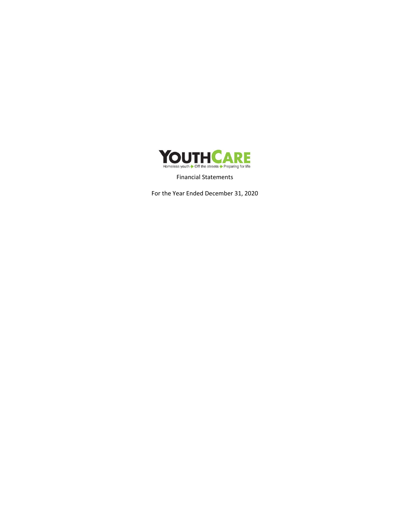

Financial Statements

For the Year Ended December 31, 2020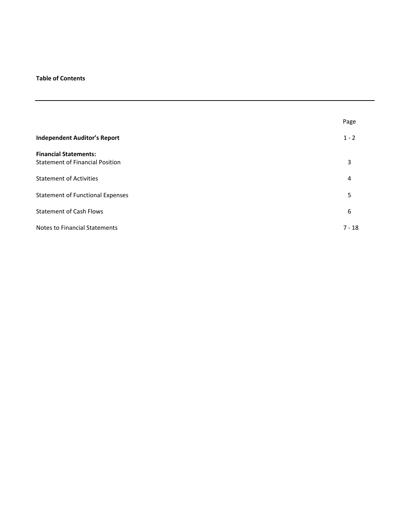# **Table of Contents**

|                                                                        | Page     |
|------------------------------------------------------------------------|----------|
| <b>Independent Auditor's Report</b>                                    | $1 - 2$  |
| <b>Financial Statements:</b><br><b>Statement of Financial Position</b> | 3        |
| <b>Statement of Activities</b>                                         | 4        |
| <b>Statement of Functional Expenses</b>                                | 5        |
| <b>Statement of Cash Flows</b>                                         | 6        |
| <b>Notes to Financial Statements</b>                                   | $7 - 18$ |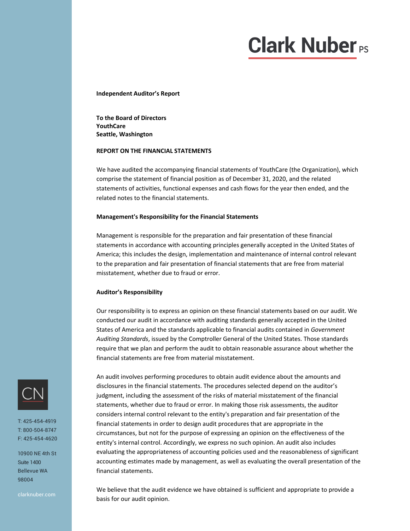# **Clark Nuber**<sub>PS</sub>

**Independent Auditor's Report**

**To the Board of Directors YouthCare Seattle, Washington**

## **REPORT ON THE FINANCIAL STATEMENTS**

We have audited the accompanying financial statements of YouthCare (the Organization), which comprise the statement of financial position as of December 31, 2020, and the related statements of activities, functional expenses and cash flows for the year then ended, and the related notes to the financial statements.

#### **Management's Responsibility for the Financial Statements**

Management is responsible for the preparation and fair presentation of these financial statements in accordance with accounting principles generally accepted in the United States of America; this includes the design, implementation and maintenance of internal control relevant to the preparation and fair presentation of financial statements that are free from material misstatement, whether due to fraud or error.

#### **Auditor's Responsibility**

Our responsibility is to express an opinion on these financial statements based on our audit. We conducted our audit in accordance with auditing standards generally accepted in the United States of America and the standards applicable to financial audits contained in *Government Auditing Standards*, issued by the Comptroller General of the United States. Those standards require that we plan and perform the audit to obtain reasonable assurance about whether the financial statements are free from material misstatement.

An audit involves performing procedures to obtain audit evidence about the amounts and disclosures in the financial statements. The procedures selected depend on the auditor's judgment, including the assessment of the risks of material misstatement of the financial statements, whether due to fraud or error. In making those risk assessments, the auditor considers internal control relevant to the entity's preparation and fair presentation of the financial statements in order to design audit procedures that are appropriate in the circumstances, but not for the purpose of expressing an opinion on the effectiveness of the entity's internal control. Accordingly, we express no such opinion. An audit also includes evaluating the appropriateness of accounting policies used and the reasonableness of significant accounting estimates made by management, as well as evaluating the overall presentation of the financial statements.

We believe that the audit evidence we have obtained is sufficient and appropriate to provide a basis for our audit opinion.



T: 425-454-4919 T: 800-504-8747 F: 425-454-4620

10900 NE 4th St Suite 1400 Bellevue WA 98004

clarknuber.com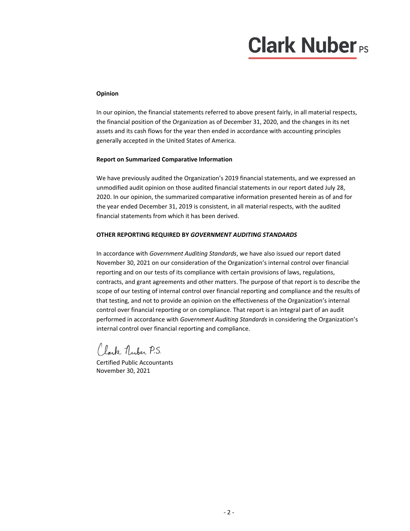# **Clark Nuber**<sub>PS</sub>

# **Opinion**

In our opinion, the financial statements referred to above present fairly, in all material respects, the financial position of the Organization as of December 31, 2020, and the changes in its net assets and its cash flows for the year then ended in accordance with accounting principles generally accepted in the United States of America.

# **Report on Summarized Comparative Information**

We have previously audited the Organization's 2019 financial statements, and we expressed an unmodified audit opinion on those audited financial statements in our report dated July 28, 2020. In our opinion, the summarized comparative information presented herein as of and for the year ended December 31, 2019 is consistent, in all material respects, with the audited financial statements from which it has been derived.

# **OTHER REPORTING REQUIRED BY** *GOVERNMENT AUDITING STANDARDS*

In accordance with *Government Auditing Standards*, we have also issued our report dated November 30, 2021 on our consideration of the Organization's internal control over financial reporting and on our tests of its compliance with certain provisions of laws, regulations, contracts, and grant agreements and other matters. The purpose of that report is to describe the scope of our testing of internal control over financial reporting and compliance and the results of that testing, and not to provide an opinion on the effectiveness of the Organization's internal control over financial reporting or on compliance. That report is an integral part of an audit performed in accordance with *Government Auditing Standards* in considering the Organization's internal control over financial reporting and compliance.

Clark Nuber P.S.

Certified Public Accountants November 30, 2021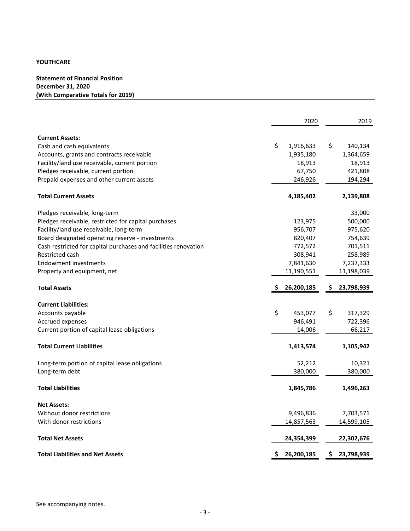**Statement of Financial Position December 31, 2020 (With Comparative Totals for 2019)**

|                                                                 | 2020             | 2019             |
|-----------------------------------------------------------------|------------------|------------------|
|                                                                 |                  |                  |
| <b>Current Assets:</b>                                          |                  |                  |
| Cash and cash equivalents                                       | \$<br>1,916,633  | \$<br>140,134    |
| Accounts, grants and contracts receivable                       | 1,935,180        | 1,364,659        |
| Facility/land use receivable, current portion                   | 18,913           | 18,913           |
| Pledges receivable, current portion                             | 67,750           | 421,808          |
| Prepaid expenses and other current assets                       | 246,926          | 194,294          |
| <b>Total Current Assets</b>                                     | 4,185,402        | 2,139,808        |
| Pledges receivable, long-term                                   |                  | 33,000           |
| Pledges receivable, restricted for capital purchases            | 123,975          | 500,000          |
| Facility/land use receivable, long-term                         | 956,707          | 975,620          |
| Board designated operating reserve - investments                | 820,407          | 754,639          |
| Cash restricted for capital purchases and facilities renovation | 772,572          | 701,511          |
| Restricted cash                                                 | 308,941          | 258,989          |
| <b>Endowment investments</b>                                    | 7,841,630        | 7,237,333        |
| Property and equipment, net                                     | 11,190,551       | 11,198,039       |
| <b>Total Assets</b>                                             | 26,200,185<br>Ş. | 23,798,939<br>Ş. |
| <b>Current Liabilities:</b>                                     |                  |                  |
| Accounts payable                                                | \$<br>453,077    | \$<br>317,329    |
| Accrued expenses                                                | 946,491          | 722,396          |
| Current portion of capital lease obligations                    | 14,006           | 66,217           |
| <b>Total Current Liabilities</b>                                | 1,413,574        | 1,105,942        |
| Long-term portion of capital lease obligations                  | 52,212           | 10,321           |
| Long-term debt                                                  | 380,000          | 380,000          |
| <b>Total Liabilities</b>                                        | 1,845,786        | 1,496,263        |
| <b>Net Assets:</b>                                              |                  |                  |
| Without donor restrictions                                      | 9,496,836        | 7,703,571        |
| With donor restrictions                                         | 14,857,563       | 14,599,105       |
| <b>Total Net Assets</b>                                         | 24,354,399       | 22,302,676       |
| <b>Total Liabilities and Net Assets</b>                         | 26,200,185<br>Ş  | 23,798,939<br>Ş  |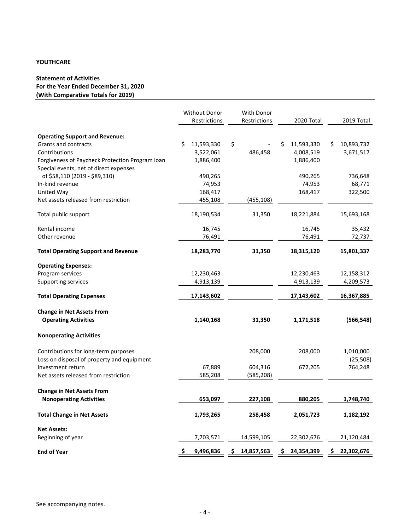# **Statement of Activities For the Year Ended December 31, 2020 (With Comparative Totals for 2019)**

|                                                 | Without Donor<br>Restrictions | With Donor<br>Restrictions | 2020 Total      | 2019 Total       |
|-------------------------------------------------|-------------------------------|----------------------------|-----------------|------------------|
| <b>Operating Support and Revenue:</b>           |                               |                            |                 |                  |
| Grants and contracts                            | \$<br>11,593,330              | \$                         | Ś<br>11,593,330 | Ś<br>10,893,732  |
| Contributions                                   | 3,522,061                     | 486,458                    | 4,008,519       | 3,671,517        |
| Forgiveness of Paycheck Protection Program loan | 1,886,400                     |                            | 1,886,400       |                  |
| Special events, net of direct expenses          |                               |                            |                 |                  |
| of \$58,110 (2019 - \$89,310)                   | 490,265                       |                            | 490,265         | 736,648          |
| In-kind revenue                                 | 74,953                        |                            | 74,953          | 68,771           |
| United Way                                      | 168,417                       |                            | 168,417         | 322,500          |
| Net assets released from restriction            | 455,108                       | (455,108)                  |                 |                  |
| Total public support                            | 18,190,534                    | 31,350                     | 18,221,884      | 15,693,168       |
| Rental income                                   | 16,745                        |                            | 16,745          | 35,432           |
| Other revenue                                   | 76,491                        |                            | 76,491          | 72,737           |
| <b>Total Operating Support and Revenue</b>      | 18,283,770                    | 31,350                     | 18,315,120      | 15,801,337       |
| <b>Operating Expenses:</b>                      |                               |                            |                 |                  |
| Program services                                | 12,230,463                    |                            | 12,230,463      | 12,158,312       |
| Supporting services                             | 4,913,139                     |                            | 4,913,139       | 4,209,573        |
| <b>Total Operating Expenses</b>                 | 17,143,602                    |                            | 17,143,602      | 16,367,885       |
| <b>Change in Net Assets From</b>                |                               |                            |                 |                  |
| <b>Operating Activities</b>                     | 1,140,168                     | 31,350                     | 1,171,518       | (566, 548)       |
| <b>Nonoperating Activities</b>                  |                               |                            |                 |                  |
| Contributions for long-term purposes            |                               | 208,000                    | 208,000         | 1,010,000        |
| Loss on disposal of property and equipment      |                               |                            |                 | (25,508)         |
| Investment return                               | 67,889                        | 604,316                    | 672,205         | 764,248          |
| Net assets released from restriction            | 585,208                       | (585, 208)                 |                 |                  |
| <b>Change in Net Assets From</b>                |                               |                            |                 |                  |
| <b>Nonoperating Activities</b>                  | 653,097                       | 227,108                    | 880,205         | 1,748,740        |
| <b>Total Change in Net Assets</b>               | 1,793,265                     | 258,458                    | 2,051,723       | 1,182,192        |
| <b>Net Assets:</b>                              |                               |                            |                 |                  |
| Beginning of year                               | 7,703,571                     | 14,599,105                 | 22,302,676      | 21,120,484       |
| <b>End of Year</b>                              | \$<br>9,496,836               | 14,857,563<br>\$           | 24,354,399<br>S | 22,302,676<br>\$ |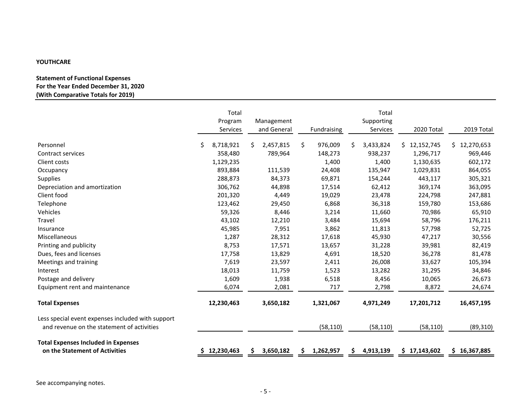# **Statement of Functional Expenses For the Year Ended December 31, 2020 (With Comparative Totals for 2019)**

|                                                                                                 |    | Total<br>Program<br>Services |    | Management<br>and General |    | Fundraising |    | Total<br>Supporting<br>Services | 2020 Total       | 2019 Total   |
|-------------------------------------------------------------------------------------------------|----|------------------------------|----|---------------------------|----|-------------|----|---------------------------------|------------------|--------------|
| Personnel                                                                                       | Ś. | 8,718,921                    | Ś. | 2,457,815                 | \$ | 976,009     | Ś. | 3,433,824                       | \$12,152,745     | \$12,270,653 |
| Contract services                                                                               |    | 358,480                      |    | 789,964                   |    | 148,273     |    | 938,237                         | 1,296,717        | 969,446      |
| Client costs                                                                                    |    | 1,129,235                    |    |                           |    | 1,400       |    | 1,400                           | 1,130,635        | 602,172      |
| Occupancy                                                                                       |    | 893,884                      |    | 111,539                   |    | 24,408      |    | 135,947                         | 1,029,831        | 864,055      |
| Supplies                                                                                        |    | 288,873                      |    | 84,373                    |    | 69,871      |    | 154,244                         | 443,117          | 305,321      |
| Depreciation and amortization                                                                   |    | 306,762                      |    | 44,898                    |    | 17,514      |    | 62,412                          | 369,174          | 363,095      |
| Client food                                                                                     |    | 201,320                      |    | 4,449                     |    | 19,029      |    | 23,478                          | 224,798          | 247,881      |
| Telephone                                                                                       |    | 123,462                      |    | 29,450                    |    | 6,868       |    | 36,318                          | 159,780          | 153,686      |
| Vehicles                                                                                        |    | 59,326                       |    | 8,446                     |    | 3,214       |    | 11,660                          | 70,986           | 65,910       |
| Travel                                                                                          |    | 43,102                       |    | 12,210                    |    | 3,484       |    | 15,694                          | 58,796           | 176,211      |
| Insurance                                                                                       |    | 45,985                       |    | 7,951                     |    | 3,862       |    | 11,813                          | 57,798           | 52,725       |
| Miscellaneous                                                                                   |    | 1,287                        |    | 28,312                    |    | 17,618      |    | 45,930                          | 47,217           | 30,556       |
| Printing and publicity                                                                          |    | 8,753                        |    | 17,571                    |    | 13,657      |    | 31,228                          | 39,981           | 82,419       |
| Dues, fees and licenses                                                                         |    | 17,758                       |    | 13,829                    |    | 4,691       |    | 18,520                          | 36,278           | 81,478       |
| Meetings and training                                                                           |    | 7,619                        |    | 23,597                    |    | 2,411       |    | 26,008                          | 33,627           | 105,394      |
| Interest                                                                                        |    | 18,013                       |    | 11,759                    |    | 1,523       |    | 13,282                          | 31,295           | 34,846       |
| Postage and delivery                                                                            |    | 1,609                        |    | 1,938                     |    | 6,518       |    | 8,456                           | 10,065           | 26,673       |
| Equipment rent and maintenance                                                                  |    | 6,074                        |    | 2,081                     |    | 717         |    | 2,798                           | 8,872            | 24,674       |
| <b>Total Expenses</b>                                                                           |    | 12,230,463                   |    | 3,650,182                 |    | 1,321,067   |    | 4,971,249                       | 17,201,712       | 16,457,195   |
| Less special event expenses included with support<br>and revenue on the statement of activities |    |                              |    |                           |    | (58, 110)   |    | (58, 110)                       | (58, 110)        | (89, 310)    |
| <b>Total Expenses Included in Expenses</b><br>on the Statement of Activities                    |    | 12,230,463                   |    | 3,650,182                 | S  | 1,262,957   | S  | 4,913,139                       | 17,143,602<br>S. | \$16,367,885 |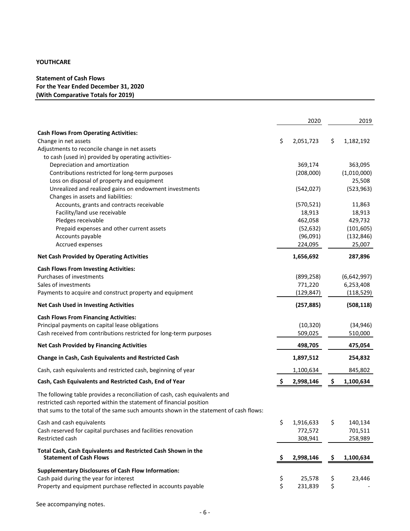# **Statement of Cash Flows For the Year Ended December 31, 2020 (With Comparative Totals for 2019)**

|                                                                                                                                                                                                                                             |    | 2020       |     | 2019        |
|---------------------------------------------------------------------------------------------------------------------------------------------------------------------------------------------------------------------------------------------|----|------------|-----|-------------|
| <b>Cash Flows From Operating Activities:</b>                                                                                                                                                                                                |    |            |     |             |
| Change in net assets                                                                                                                                                                                                                        | \$ | 2,051,723  | \$  | 1,182,192   |
| Adjustments to reconcile change in net assets                                                                                                                                                                                               |    |            |     |             |
| to cash (used in) provided by operating activities-                                                                                                                                                                                         |    |            |     |             |
| Depreciation and amortization                                                                                                                                                                                                               |    | 369,174    |     | 363,095     |
| Contributions restricted for long-term purposes                                                                                                                                                                                             |    | (208,000)  |     | (1,010,000) |
| Loss on disposal of property and equipment                                                                                                                                                                                                  |    |            |     | 25,508      |
| Unrealized and realized gains on endowment investments                                                                                                                                                                                      |    | (542, 027) |     | (523, 963)  |
| Changes in assets and liabilities:                                                                                                                                                                                                          |    |            |     |             |
| Accounts, grants and contracts receivable                                                                                                                                                                                                   |    | (570, 521) |     | 11,863      |
| Facility/land use receivable                                                                                                                                                                                                                |    | 18,913     |     | 18,913      |
| Pledges receivable                                                                                                                                                                                                                          |    | 462,058    |     | 429,732     |
| Prepaid expenses and other current assets                                                                                                                                                                                                   |    | (52, 632)  |     | (101, 605)  |
| Accounts payable                                                                                                                                                                                                                            |    | (96,091)   |     | (132, 846)  |
| Accrued expenses                                                                                                                                                                                                                            |    | 224,095    |     | 25,007      |
| <b>Net Cash Provided by Operating Activities</b>                                                                                                                                                                                            |    | 1,656,692  |     | 287,896     |
| <b>Cash Flows From Investing Activities:</b>                                                                                                                                                                                                |    |            |     |             |
| Purchases of investments                                                                                                                                                                                                                    |    | (899, 258) |     | (6,642,997) |
| Sales of investments                                                                                                                                                                                                                        |    | 771,220    |     | 6,253,408   |
| Payments to acquire and construct property and equipment                                                                                                                                                                                    |    | (129, 847) |     | (118, 529)  |
| <b>Net Cash Used in Investing Activities</b>                                                                                                                                                                                                |    | (257, 885) |     | (508, 118)  |
| <b>Cash Flows From Financing Activities:</b>                                                                                                                                                                                                |    |            |     |             |
| Principal payments on capital lease obligations                                                                                                                                                                                             |    | (10, 320)  |     | (34, 946)   |
| Cash received from contributions restricted for long-term purposes                                                                                                                                                                          |    | 509,025    |     | 510,000     |
| <b>Net Cash Provided by Financing Activities</b>                                                                                                                                                                                            |    | 498,705    |     | 475,054     |
| <b>Change in Cash, Cash Equivalents and Restricted Cash</b>                                                                                                                                                                                 |    | 1,897,512  |     | 254,832     |
| Cash, cash equivalents and restricted cash, beginning of year                                                                                                                                                                               |    | 1,100,634  |     | 845,802     |
| Cash, Cash Equivalents and Restricted Cash, End of Year                                                                                                                                                                                     | S  | 2,998,146  | \$  | 1,100,634   |
| The following table provides a reconciliation of cash, cash equivalents and<br>restricted cash reported within the statement of financial position<br>that sums to the total of the same such amounts shown in the statement of cash flows: |    |            |     |             |
| Cash and cash equivalents                                                                                                                                                                                                                   | \$ | 1,916,633  | \$  | 140,134     |
| Cash reserved for capital purchases and facilities renovation                                                                                                                                                                               |    | 772,572    |     | 701,511     |
| <b>Restricted cash</b>                                                                                                                                                                                                                      |    | 308,941    |     | 258,989     |
| Total Cash, Cash Equivalents and Restricted Cash Shown in the<br><b>Statement of Cash Flows</b>                                                                                                                                             | Ş. | 2,998,146  | -\$ | 1,100,634   |
| <b>Supplementary Disclosures of Cash Flow Information:</b>                                                                                                                                                                                  |    |            |     |             |
| Cash paid during the year for interest                                                                                                                                                                                                      | \$ | 25,578     | \$  | 23,446      |
| Property and equipment purchase reflected in accounts payable                                                                                                                                                                               | \$ | 231,839    | \$  |             |

See accompanying notes.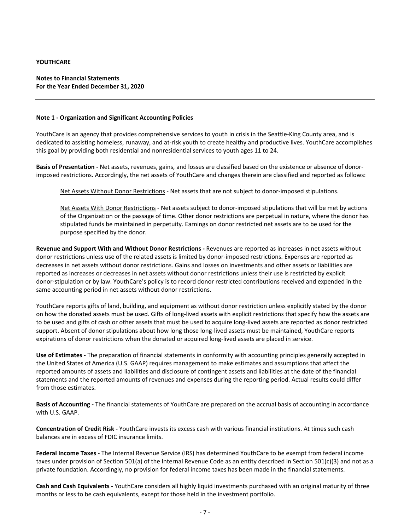**Notes to Financial Statements For the Year Ended December 31, 2020**

## **Note 1 ‐ Organization and Significant Accounting Policies**

YouthCare is an agency that provides comprehensive services to youth in crisis in the Seattle‐King County area, and is dedicated to assisting homeless, runaway, and at‐risk youth to create healthy and productive lives. YouthCare accomplishes this goal by providing both residential and nonresidential services to youth ages 11 to 24.

**Basis of Presentation ‐** Net assets, revenues, gains, and losses are classified based on the existence or absence of donor‐ imposed restrictions. Accordingly, the net assets of YouthCare and changes therein are classified and reported as follows:

Net Assets Without Donor Restrictions - Net assets that are not subject to donor-imposed stipulations.

Net Assets With Donor Restrictions ‐ Net assets subject to donor‐imposed stipulations that will be met by actions of the Organization or the passage of time. Other donor restrictions are perpetual in nature, where the donor has stipulated funds be maintained in perpetuity. Earnings on donor restricted net assets are to be used for the purpose specified by the donor.

**Revenue and Support With and Without Donor Restrictions ‐** Revenues are reported as increases in net assets without donor restrictions unless use of the related assets is limited by donor-imposed restrictions. Expenses are reported as decreases in net assets without donor restrictions. Gains and losses on investments and other assets or liabilities are reported as increases or decreases in net assets without donor restrictions unless their use is restricted by explicit donor‐stipulation or by law. YouthCare's policy is to record donor restricted contributions received and expended in the same accounting period in net assets without donor restrictions.

YouthCare reports gifts of land, building, and equipment as without donor restriction unless explicitly stated by the donor on how the donated assets must be used. Gifts of long‐lived assets with explicit restrictions that specify how the assets are to be used and gifts of cash or other assets that must be used to acquire long‐lived assets are reported as donor restricted support. Absent of donor stipulations about how long those long-lived assets must be maintained, YouthCare reports expirations of donor restrictions when the donated or acquired long‐lived assets are placed in service.

**Use of Estimates ‐** The preparation of financial statements in conformity with accounting principles generally accepted in the United States of America (U.S. GAAP) requires management to make estimates and assumptions that affect the reported amounts of assets and liabilities and disclosure of contingent assets and liabilities at the date of the financial statements and the reported amounts of revenues and expenses during the reporting period. Actual results could differ from those estimates.

**Basis of Accounting ‐** The financial statements of YouthCare are prepared on the accrual basis of accounting in accordance with U.S. GAAP.

**Concentration of Credit Risk ‐** YouthCare invests its excess cash with various financial institutions. At times such cash balances are in excess of FDIC insurance limits.

**Federal Income Taxes ‐** The Internal Revenue Service (IRS) has determined YouthCare to be exempt from federal income taxes under provision of Section 501(a) of the Internal Revenue Code as an entity described in Section 501(c)(3) and not as a private foundation. Accordingly, no provision for federal income taxes has been made in the financial statements.

**Cash and Cash Equivalents ‐** YouthCare considers all highly liquid investments purchased with an original maturity of three months or less to be cash equivalents, except for those held in the investment portfolio.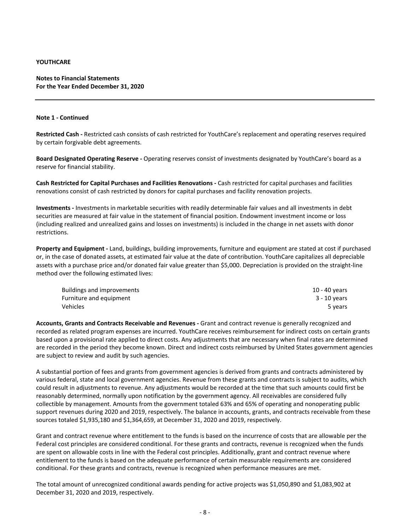# **Notes to Financial Statements For the Year Ended December 31, 2020**

# **Note 1 ‐ Continued**

**Restricted Cash ‐** Restricted cash consists of cash restricted for YouthCare's replacement and operating reserves required by certain forgivable debt agreements.

**Board Designated Operating Reserve ‐** Operating reserves consist of investments designated by YouthCare's board as a reserve for financial stability.

**Cash Restricted for Capital Purchases and Facilities Renovations ‐** Cash restricted for capital purchases and facilities renovations consist of cash restricted by donors for capital purchases and facility renovation projects.

**Investments ‐** Investments in marketable securities with readily determinable fair values and all investments in debt securities are measured at fair value in the statement of financial position. Endowment investment income or loss (including realized and unrealized gains and losses on investments) is included in the change in net assets with donor restrictions.

**Property and Equipment ‐** Land, buildings, building improvements, furniture and equipment are stated at cost if purchased or, in the case of donated assets, at estimated fair value at the date of contribution. YouthCare capitalizes all depreciable assets with a purchase price and/or donated fair value greater than \$5,000. Depreciation is provided on the straight‐line method over the following estimated lives:

| <b>Buildings and improvements</b> | 10 - 40 years |
|-----------------------------------|---------------|
| Furniture and equipment           | 3 - 10 years  |
| Vehicles                          | 5 years       |

**Accounts, Grants and Contracts Receivable and Revenues ‐** Grant and contract revenue is generally recognized and recorded as related program expenses are incurred. YouthCare receives reimbursement for indirect costs on certain grants based upon a provisional rate applied to direct costs. Any adjustments that are necessary when final rates are determined are recorded in the period they become known. Direct and indirect costs reimbursed by United States government agencies are subject to review and audit by such agencies.

A substantial portion of fees and grants from government agencies is derived from grants and contracts administered by various federal, state and local government agencies. Revenue from these grants and contracts is subject to audits, which could result in adjustments to revenue. Any adjustments would be recorded at the time that such amounts could first be reasonably determined, normally upon notification by the government agency. All receivables are considered fully collectible by management. Amounts from the government totaled 63% and 65% of operating and nonoperating public support revenues during 2020 and 2019, respectively. The balance in accounts, grants, and contracts receivable from these sources totaled \$1,935,180 and \$1,364,659, at December 31, 2020 and 2019, respectively.

Grant and contract revenue where entitlement to the funds is based on the incurrence of costs that are allowable per the Federal cost principles are considered conditional. For these grants and contracts, revenue is recognized when the funds are spent on allowable costs in line with the Federal cost principles. Additionally, grant and contract revenue where entitlement to the funds is based on the adequate performance of certain measurable requirements are considered conditional. For these grants and contracts, revenue is recognized when performance measures are met.

The total amount of unrecognized conditional awards pending for active projects was \$1,050,890 and \$1,083,902 at December 31, 2020 and 2019, respectively.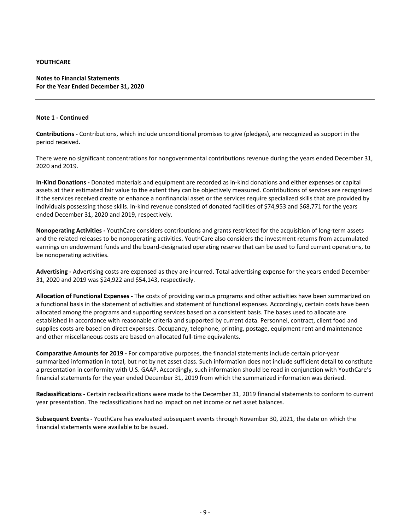# **Notes to Financial Statements For the Year Ended December 31, 2020**

## **Note 1 ‐ Continued**

**Contributions ‐** Contributions, which include unconditional promises to give (pledges), are recognized as support in the period received.

There were no significant concentrations for nongovernmental contributions revenue during the years ended December 31, 2020 and 2019.

**In‐Kind Donations ‐** Donated materials and equipment are recorded as in‐kind donations and either expenses or capital assets at their estimated fair value to the extent they can be objectively measured. Contributions of services are recognized if the services received create or enhance a nonfinancial asset or the services require specialized skills that are provided by individuals possessing those skills. In‐kind revenue consisted of donated facilities of \$74,953 and \$68,771 for the years ended December 31, 2020 and 2019, respectively.

**Nonoperating Activities ‐** YouthCare considers contributions and grants restricted for the acquisition of long‐term assets and the related releases to be nonoperating activities. YouthCare also considers the investment returns from accumulated earnings on endowment funds and the board‐designated operating reserve that can be used to fund current operations, to be nonoperating activities.

**Advertising ‐** Advertising costs are expensed as they are incurred. Total advertising expense for the years ended December 31, 2020 and 2019 was \$24,922 and \$54,143, respectively.

**Allocation of Functional Expenses ‐** The costs of providing various programs and other activities have been summarized on a functional basis in the statement of activities and statement of functional expenses. Accordingly, certain costs have been allocated among the programs and supporting services based on a consistent basis. The bases used to allocate are established in accordance with reasonable criteria and supported by current data. Personnel, contract, client food and supplies costs are based on direct expenses. Occupancy, telephone, printing, postage, equipment rent and maintenance and other miscellaneous costs are based on allocated full‐time equivalents.

**Comparative Amounts for 2019 ‐** For comparative purposes, the financial statements include certain prior‐year summarized information in total, but not by net asset class. Such information does not include sufficient detail to constitute a presentation in conformity with U.S. GAAP. Accordingly, such information should be read in conjunction with YouthCare's financial statements for the year ended December 31, 2019 from which the summarized information was derived.

**Reclassifications ‐** Certain reclassifications were made to the December 31, 2019 financial statements to conform to current year presentation. The reclassifications had no impact on net income or net asset balances.

**Subsequent Events ‐** YouthCare has evaluated subsequent events through November 30, 2021, the date on which the financial statements were available to be issued.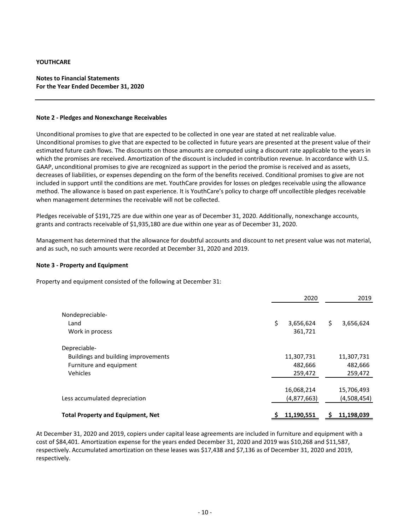# **Notes to Financial Statements For the Year Ended December 31, 2020**

#### **Note 2 ‐ Pledges and Nonexchange Receivables**

Unconditional promises to give that are expected to be collected in one year are stated at net realizable value. Unconditional promises to give that are expected to be collected in future years are presented at the present value of their estimated future cash flows. The discounts on those amounts are computed using a discount rate applicable to the years in which the promises are received. Amortization of the discount is included in contribution revenue. In accordance with U.S. GAAP, unconditional promises to give are recognized as support in the period the promise is received and as assets, decreases of liabilities, or expenses depending on the form of the benefits received. Conditional promises to give are not included in support until the conditions are met. YouthCare provides for losses on pledges receivable using the allowance method. The allowance is based on past experience. It is YouthCare's policy to charge off uncollectible pledges receivable when management determines the receivable will not be collected.

Pledges receivable of \$191,725 are due within one year as of December 31, 2020. Additionally, nonexchange accounts, grants and contracts receivable of \$1,935,180 are due within one year as of December 31, 2020.

Management has determined that the allowance for doubtful accounts and discount to net present value was not material, and as such, no such amounts were recorded at December 31, 2020 and 2019.

## **Note 3 ‐ Property and Equipment**

Property and equipment consisted of the following at December 31:

|                                          | 2020            | 2019            |
|------------------------------------------|-----------------|-----------------|
| Nondepreciable-                          |                 |                 |
| Land                                     | \$<br>3,656,624 | \$<br>3,656,624 |
| Work in process                          | 361,721         |                 |
| Depreciable-                             |                 |                 |
| Buildings and building improvements      | 11,307,731      | 11,307,731      |
| Furniture and equipment                  | 482,666         | 482,666         |
| Vehicles                                 | 259,472         | 259,472         |
|                                          |                 |                 |
|                                          | 16,068,214      | 15,706,493      |
| Less accumulated depreciation            | (4,877,663)     | (4,508,454)     |
|                                          | 11,190,551      | 11,198,039      |
| <b>Total Property and Equipment, Net</b> |                 |                 |

At December 31, 2020 and 2019, copiers under capital lease agreements are included in furniture and equipment with a cost of \$84,401. Amortization expense for the years ended December 31, 2020 and 2019 was \$10,268 and \$11,587, respectively. Accumulated amortization on these leases was \$17,438 and \$7,136 as of December 31, 2020 and 2019, respectively.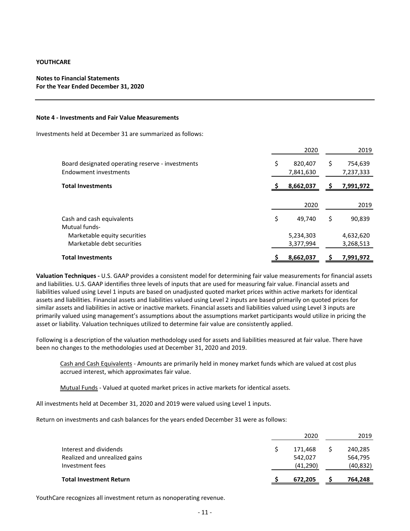# **Notes to Financial Statements For the Year Ended December 31, 2020**

#### **Note 4 ‐ Investments and Fair Value Measurements**

Investments held at December 31 are summarized as follows:

|                                                                           | 2020                       | 2019                       |
|---------------------------------------------------------------------------|----------------------------|----------------------------|
| Board designated operating reserve - investments<br>Endowment investments | \$<br>820,407<br>7,841,630 | \$<br>754,639<br>7,237,333 |
| <b>Total Investments</b>                                                  | 8,662,037                  | 7,991,972                  |
|                                                                           | 2020                       | 2019                       |
| Cash and cash equivalents<br>Mutual funds-                                | \$<br>49,740               | \$<br>90,839               |
| Marketable equity securities<br>Marketable debt securities                | 5,234,303<br>3,377,994     | 4,632,620<br>3,268,513     |
| <b>Total Investments</b>                                                  | 8,662,037                  | 7,991,972                  |

**Valuation Techniques ‐** U.S. GAAP provides a consistent model for determining fair value measurements for financial assets and liabilities. U.S. GAAP identifies three levels of inputs that are used for measuring fair value. Financial assets and liabilities valued using Level 1 inputs are based on unadjusted quoted market prices within active markets for identical assets and liabilities. Financial assets and liabilities valued using Level 2 inputs are based primarily on quoted prices for similar assets and liabilities in active or inactive markets. Financial assets and liabilities valued using Level 3 inputs are primarily valued using management's assumptions about the assumptions market participants would utilize in pricing the asset or liability. Valuation techniques utilized to determine fair value are consistently applied.

Following is a description of the valuation methodology used for assets and liabilities measured at fair value. There have been no changes to the methodologies used at December 31, 2020 and 2019.

Cash and Cash Equivalents ‐ Amounts are primarily held in money market funds which are valued at cost plus accrued interest, which approximates fair value.

Mutual Funds - Valued at quoted market prices in active markets for identical assets.

All investments held at December 31, 2020 and 2019 were valued using Level 1 inputs.

Return on investments and cash balances for the years ended December 31 were as follows:

|                                                                            | 2020                            | 2019                            |
|----------------------------------------------------------------------------|---------------------------------|---------------------------------|
| Interest and dividends<br>Realized and unrealized gains<br>Investment fees | 171,468<br>542,027<br>(41, 290) | 240,285<br>564,795<br>(40, 832) |
| <b>Total Investment Return</b>                                             | 672,205                         | 764,248                         |

YouthCare recognizes all investment return as nonoperating revenue.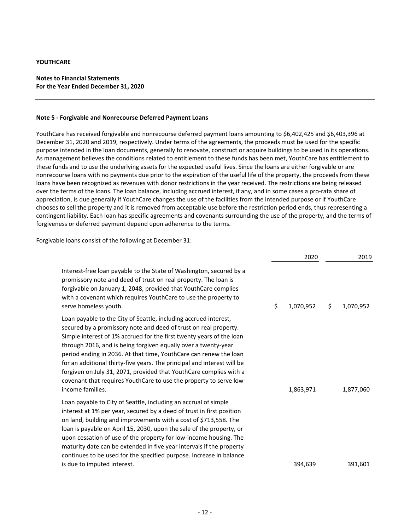# **Notes to Financial Statements For the Year Ended December 31, 2020**

#### **Note 5 ‐ Forgivable and Nonrecourse Deferred Payment Loans**

YouthCare has received forgivable and nonrecourse deferred payment loans amounting to \$6,402,425 and \$6,403,396 at December 31, 2020 and 2019, respectively. Under terms of the agreements, the proceeds must be used for the specific purpose intended in the loan documents, generally to renovate, construct or acquire buildings to be used in its operations. As management believes the conditions related to entitlement to these funds has been met, YouthCare has entitlement to these funds and to use the underlying assets for the expected useful lives. Since the loans are either forgivable or are nonrecourse loans with no payments due prior to the expiration of the useful life of the property, the proceeds from these loans have been recognized as revenues with donor restrictions in the year received. The restrictions are being released over the terms of the loans. The loan balance, including accrued interest, if any, and in some cases a pro‐rata share of appreciation, is due generally if YouthCare changes the use of the facilities from the intended purpose or if YouthCare chooses to sell the property and it is removed from acceptable use before the restriction period ends, thus representing a contingent liability. Each loan has specific agreements and covenants surrounding the use of the property, and the terms of forgiveness or deferred payment depend upon adherence to the terms.

Forgivable loans consist of the following at December 31:

|                                                                                                                                                                                                                                                                                                                                                                                                                                                                                                                                                                                                | 2020            | 2019            |
|------------------------------------------------------------------------------------------------------------------------------------------------------------------------------------------------------------------------------------------------------------------------------------------------------------------------------------------------------------------------------------------------------------------------------------------------------------------------------------------------------------------------------------------------------------------------------------------------|-----------------|-----------------|
| Interest-free loan payable to the State of Washington, secured by a<br>promissory note and deed of trust on real property. The loan is<br>forgivable on January 1, 2048, provided that YouthCare complies<br>with a covenant which requires YouthCare to use the property to<br>serve homeless youth.                                                                                                                                                                                                                                                                                          | \$<br>1,070,952 | \$<br>1,070,952 |
| Loan payable to the City of Seattle, including accrued interest,<br>secured by a promissory note and deed of trust on real property.<br>Simple interest of 1% accrued for the first twenty years of the loan<br>through 2016, and is being forgiven equally over a twenty-year<br>period ending in 2036. At that time, YouthCare can renew the loan<br>for an additional thirty-five years. The principal and interest will be<br>forgiven on July 31, 2071, provided that YouthCare complies with a<br>covenant that requires YouthCare to use the property to serve low-<br>income families. | 1,863,971       | 1,877,060       |
| Loan payable to City of Seattle, including an accrual of simple<br>interest at 1% per year, secured by a deed of trust in first position<br>on land, building and improvements with a cost of \$713,558. The<br>loan is payable on April 15, 2030, upon the sale of the property, or<br>upon cessation of use of the property for low-income housing. The<br>maturity date can be extended in five year intervals if the property<br>continues to be used for the specified purpose. Increase in balance                                                                                       |                 |                 |
| is due to imputed interest.                                                                                                                                                                                                                                                                                                                                                                                                                                                                                                                                                                    | 394,639         | 391,601         |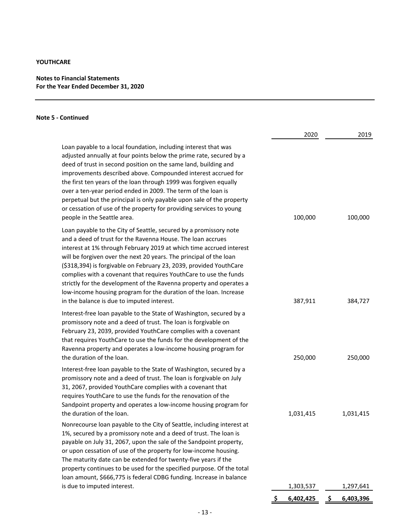# **Notes to Financial Statements For the Year Ended December 31, 2020**

# **Note 5 ‐ Continued**

|                                                                                                                                                                                                                                                                                                                                                                                                                                                                                                                                                                                                                    | 2020      | 2019            |
|--------------------------------------------------------------------------------------------------------------------------------------------------------------------------------------------------------------------------------------------------------------------------------------------------------------------------------------------------------------------------------------------------------------------------------------------------------------------------------------------------------------------------------------------------------------------------------------------------------------------|-----------|-----------------|
| Loan payable to a local foundation, including interest that was<br>adjusted annually at four points below the prime rate, secured by a<br>deed of trust in second position on the same land, building and<br>improvements described above. Compounded interest accrued for<br>the first ten years of the loan through 1999 was forgiven equally<br>over a ten-year period ended in 2009. The term of the loan is<br>perpetual but the principal is only payable upon sale of the property<br>or cessation of use of the property for providing services to young<br>people in the Seattle area.                    | 100,000   | 100,000         |
| Loan payable to the City of Seattle, secured by a promissory note<br>and a deed of trust for the Ravenna House. The loan accrues<br>interest at 1% through February 2019 at which time accrued interest<br>will be forgiven over the next 20 years. The principal of the loan<br>(\$318,394) is forgivable on February 23, 2039, provided YouthCare<br>complies with a covenant that requires YouthCare to use the funds<br>strictly for the development of the Ravenna property and operates a<br>low-income housing program for the duration of the loan. Increase<br>in the balance is due to imputed interest. | 387,911   | 384,727         |
| Interest-free loan payable to the State of Washington, secured by a<br>promissory note and a deed of trust. The loan is forgivable on<br>February 23, 2039, provided YouthCare complies with a covenant<br>that requires YouthCare to use the funds for the development of the<br>Ravenna property and operates a low-income housing program for<br>the duration of the loan.                                                                                                                                                                                                                                      | 250,000   | 250,000         |
| Interest-free loan payable to the State of Washington, secured by a<br>promissory note and a deed of trust. The loan is forgivable on July<br>31, 2067, provided YouthCare complies with a covenant that<br>requires YouthCare to use the funds for the renovation of the<br>Sandpoint property and operates a low-income housing program for<br>the duration of the loan.                                                                                                                                                                                                                                         | 1,031,415 | 1,031,415       |
| Nonrecourse loan payable to the City of Seattle, including interest at<br>1%, secured by a promissory note and a deed of trust. The loan is<br>payable on July 31, 2067, upon the sale of the Sandpoint property,<br>or upon cessation of use of the property for low-income housing.<br>The maturity date can be extended for twenty-five years if the<br>property continues to be used for the specified purpose. Of the total<br>loan amount, \$666,775 is federal CDBG funding. Increase in balance                                                                                                            |           |                 |
| is due to imputed interest.                                                                                                                                                                                                                                                                                                                                                                                                                                                                                                                                                                                        | 1,303,537 | 1,297,641       |
|                                                                                                                                                                                                                                                                                                                                                                                                                                                                                                                                                                                                                    | 6,402,425 | -S<br>6,403,396 |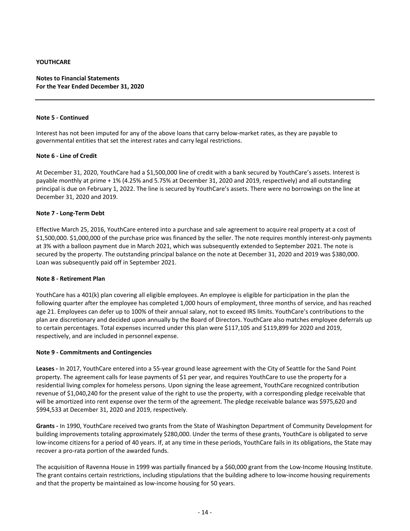# **Notes to Financial Statements For the Year Ended December 31, 2020**

#### **Note 5 ‐ Continued**

Interest has not been imputed for any of the above loans that carry below‐market rates, as they are payable to governmental entities that set the interest rates and carry legal restrictions.

## **Note 6 ‐ Line of Credit**

At December 31, 2020, YouthCare had a \$1,500,000 line of credit with a bank secured by YouthCare's assets. Interest is payable monthly at prime + 1% (4.25% and 5.75% at December 31, 2020 and 2019, respectively) and all outstanding principal is due on February 1, 2022. The line is secured by YouthCare's assets. There were no borrowings on the line at December 31, 2020 and 2019.

## **Note 7 ‐ Long‐Term Debt**

Effective March 25, 2016, YouthCare entered into a purchase and sale agreement to acquire real property at a cost of \$1,500,000. \$1,000,000 of the purchase price was financed by the seller. The note requires monthly interest-only payments at 3% with a balloon payment due in March 2021, which was subsequently extended to September 2021. The note is secured by the property. The outstanding principal balance on the note at December 31, 2020 and 2019 was \$380,000. Loan was subsequently paid off in September 2021.

## **Note 8 ‐ Retirement Plan**

YouthCare has a 401(k) plan covering all eligible employees. An employee is eligible for participation in the plan the following quarter after the employee has completed 1,000 hours of employment, three months of service, and has reached age 21. Employees can defer up to 100% of their annual salary, not to exceed IRS limits. YouthCare's contributions to the plan are discretionary and decided upon annually by the Board of Directors. YouthCare also matches employee deferrals up to certain percentages. Total expenses incurred under this plan were \$117,105 and \$119,899 for 2020 and 2019, respectively, and are included in personnel expense.

## **Note 9 ‐ Commitments and Contingencies**

**Leases ‐** In 2017, YouthCare entered into a 55‐year ground lease agreement with the City of Seattle for the Sand Point property. The agreement calls for lease payments of \$1 per year, and requires YouthCare to use the property for a residential living complex for homeless persons. Upon signing the lease agreement, YouthCare recognized contribution revenue of \$1,040,240 for the present value of the right to use the property, with a corresponding pledge receivable that will be amortized into rent expense over the term of the agreement. The pledge receivable balance was \$975,620 and \$994,533 at December 31, 2020 and 2019, respectively.

**Grants ‐** In 1990, YouthCare received two grants from the State of Washington Department of Community Development for building improvements totaling approximately \$280,000. Under the terms of these grants, YouthCare is obligated to serve low-income citizens for a period of 40 years. If, at any time in these periods, YouthCare fails in its obligations, the State may recover a pro‐rata portion of the awarded funds.

The acquisition of Ravenna House in 1999 was partially financed by a \$60,000 grant from the Low‐Income Housing Institute. The grant contains certain restrictions, including stipulations that the building adhere to low-income housing requirements and that the property be maintained as low-income housing for 50 years.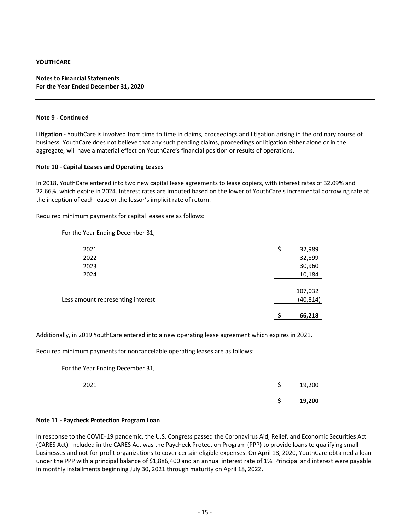# **Notes to Financial Statements For the Year Ended December 31, 2020**

## **Note 9 ‐ Continued**

**Litigation ‐** YouthCare is involved from time to time in claims, proceedings and litigation arising in the ordinary course of business. YouthCare does not believe that any such pending claims, proceedings or litigation either alone or in the aggregate, will have a material effect on YouthCare's financial position or results of operations.

#### **Note 10 ‐ Capital Leases and Operating Leases**

In 2018, YouthCare entered into two new capital lease agreements to lease copiers, with interest rates of 32.09% and 22.66%, which expire in 2024. Interest rates are imputed based on the lower of YouthCare's incremental borrowing rate at the inception of each lease or the lessor's implicit rate of return.

Required minimum payments for capital leases are as follows:

For the Year Ending December 31,

|                                   | S  | 66,218               |
|-----------------------------------|----|----------------------|
| Less amount representing interest |    | 107,032<br>(40, 814) |
| 2024                              |    | 10,184               |
| 2023                              |    | 30,960               |
| 2022                              |    | 32,899               |
| 2021                              | \$ | 32,989               |
|                                   |    |                      |

Additionally, in 2019 YouthCare entered into a new operating lease agreement which expires in 2021.

Required minimum payments for noncancelable operating leases are as follows:

For the Year Ending December 31,

| 2021 |   | 19,200 |
|------|---|--------|
|      | c | 19,200 |

#### **Note 11 ‐ Paycheck Protection Program Loan**

In response to the COVID‐19 pandemic, the U.S. Congress passed the Coronavirus Aid, Relief, and Economic Securities Act (CARES Act). Included in the CARES Act was the Paycheck Protection Program (PPP) to provide loans to qualifying small businesses and not‐for‐profit organizations to cover certain eligible expenses. On April 18, 2020, YouthCare obtained a loan under the PPP with a principal balance of \$1,886,400 and an annual interest rate of 1%. Principal and interest were payable in monthly installments beginning July 30, 2021 through maturity on April 18, 2022.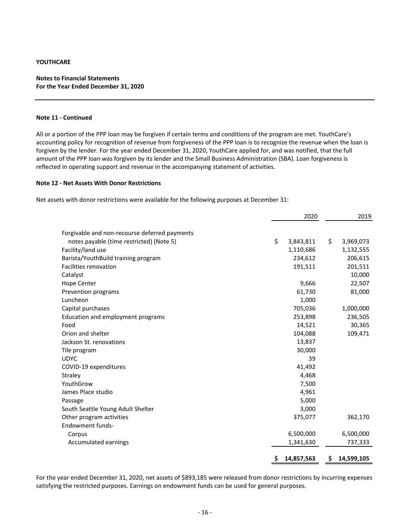# **Notes to Financial Statements For the Year Ended December 31, 2020**

## **Note 11 ‐ Continued**

All or a portion of the PPP loan may be forgiven if certain terms and conditions of the program are met. YouthCare's accounting policy for recognition of revenue from forgiveness of the PPP loan is to recognize the revenue when the loan is forgiven by the lender. For the year ended December 31, 2020, YouthCare applied for, and was notified, that the full amount of the PPP loan was forgiven by its lender and the Small Business Administration (SBA). Loan forgiveness is reflected in operating support and revenue in the accompanying statement of activities.

#### **Note 12 ‐ Net Assets With Donor Restrictions**

Net assets with donor restrictions were available for the following purposes at December 31:

|                                               | 2020 |            | 2019 |            |
|-----------------------------------------------|------|------------|------|------------|
|                                               |      |            |      |            |
| Forgivable and non-recourse deferred payments |      |            |      |            |
| notes payable (time restricted) (Note 5)      | \$   | 3,843,811  | \$   | 3,969,073  |
| Facility/land use                             |      | 1,110,686  |      | 1,132,555  |
| Barista/YouthBuild training program           |      | 234,612    |      | 206,615    |
| Facilities renovation                         |      | 191,511    |      | 201,511    |
| Catalyst                                      |      |            |      | 10,000     |
| <b>Hope Center</b>                            |      | 9,666      |      | 22,507     |
| Prevention programs                           |      | 61,730     |      | 81,000     |
| Luncheon                                      |      | 1,000      |      |            |
| Capital purchases                             |      | 705,036    |      | 1,000,000  |
| Education and employment programs             |      | 253,898    |      | 236,505    |
| Food                                          |      | 14,521     |      | 30,365     |
| Orion and shelter                             |      | 104,088    |      | 109,471    |
| Jackson St. renovations                       |      | 13,837     |      |            |
| Tile program                                  |      | 30,000     |      |            |
| <b>UDYC</b>                                   |      | 39         |      |            |
| COVID-19 expenditures                         |      | 41,492     |      |            |
| Straley                                       |      | 4,468      |      |            |
| YouthGrow                                     |      | 7,500      |      |            |
| James Place studio                            |      | 4,961      |      |            |
| Passage                                       |      | 5,000      |      |            |
| South Seattle Young Adult Shelter             |      | 3,000      |      |            |
| Other program activities                      |      | 375,077    |      | 362,170    |
| <b>Endowment funds-</b>                       |      |            |      |            |
| Corpus                                        |      | 6,500,000  |      | 6,500,000  |
| Accumulated earnings                          |      | 1,341,630  |      | 737,333    |
|                                               | \$.  | 14,857,563 | \$   | 14,599,105 |

For the year ended December 31, 2020, net assets of \$893,185 were released from donor restrictions by incurring expenses satisfying the restricted purposes. Earnings on endowment funds can be used for general purposes.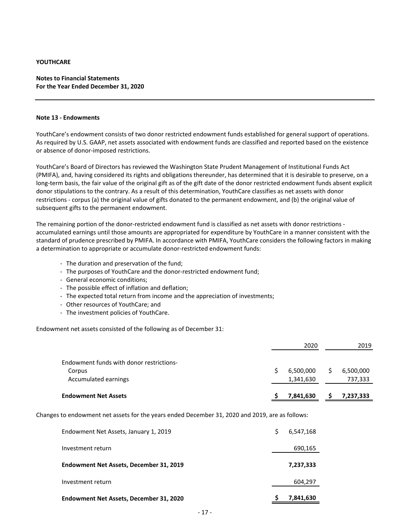# **Notes to Financial Statements For the Year Ended December 31, 2020**

## **Note 13 ‐ Endowments**

YouthCare's endowment consists of two donor restricted endowment funds established for general support of operations. As required by U.S. GAAP, net assets associated with endowment funds are classified and reported based on the existence or absence of donor‐imposed restrictions.

YouthCare's Board of Directors has reviewed the Washington State Prudent Management of Institutional Funds Act (PMIFA), and, having considered its rights and obligations thereunder, has determined that it is desirable to preserve, on a long‐term basis, the fair value of the original gift as of the gift date of the donor restricted endowment funds absent explicit donor stipulations to the contrary. As a result of this determination, YouthCare classifies as net assets with donor restrictions ‐ corpus (a) the original value of gifts donated to the permanent endowment, and (b) the original value of subsequent gifts to the permanent endowment.

The remaining portion of the donor-restricted endowment fund is classified as net assets with donor restrictions accumulated earnings until those amounts are appropriated for expenditure by YouthCare in a manner consistent with the standard of prudence prescribed by PMIFA. In accordance with PMIFA, YouthCare considers the following factors in making a determination to appropriate or accumulate donor‐restricted endowment funds:

- ‐ The duration and preservation of the fund;
- ‐ The purposes of YouthCare and the donor‐restricted endowment fund;
- ‐ General economic conditions;
- ‐ The possible effect of inflation and deflation;
- ‐ The expected total return from income and the appreciation of investments;
- ‐ Other resources of YouthCare; and
- ‐ The investment policies of YouthCare.

Endowment net assets consisted of the following as of December 31:

|                                          | 2020                   | 2019                 |
|------------------------------------------|------------------------|----------------------|
| Endowment funds with donor restrictions- |                        |                      |
| Corpus<br>Accumulated earnings           | 6,500,000<br>1,341,630 | 6,500,000<br>737,333 |
| <b>Endowment Net Assets</b>              | 7,841,630              | 7,237,333            |

Changes to endowment net assets for the years ended December 31, 2020 and 2019, are as follows:

| Endowment Net Assets, December 31, 2020 | 7,841,630 |
|-----------------------------------------|-----------|
| Investment return                       | 604,297   |
| Endowment Net Assets, December 31, 2019 | 7,237,333 |
| Investment return                       | 690,165   |
| Endowment Net Assets, January 1, 2019   | 6,547,168 |